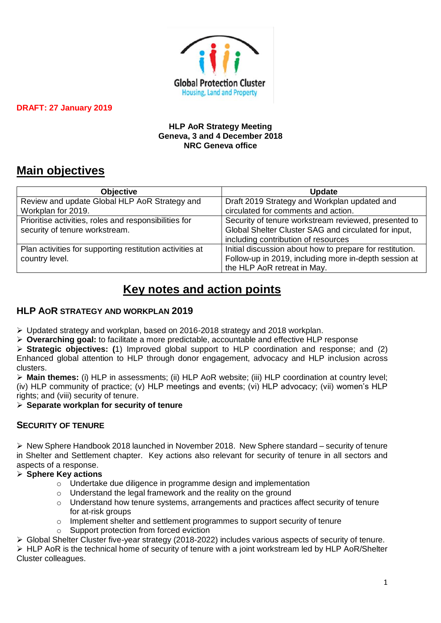

#### **HLP AoR Strategy Meeting Geneva, 3 and 4 December 2018 NRC Geneva office**

# **Main objectives**

| <b>Objective</b>                                         | <b>Update</b>                                            |  |
|----------------------------------------------------------|----------------------------------------------------------|--|
| Review and update Global HLP AoR Strategy and            | Draft 2019 Strategy and Workplan updated and             |  |
| Workplan for 2019.                                       | circulated for comments and action.                      |  |
| Prioritise activities, roles and responsibilities for    | Security of tenure workstream reviewed, presented to     |  |
| security of tenure workstream.                           | Global Shelter Cluster SAG and circulated for input,     |  |
|                                                          | including contribution of resources                      |  |
| Plan activities for supporting restitution activities at | Initial discussion about how to prepare for restitution. |  |
| country level.                                           | Follow-up in 2019, including more in-depth session at    |  |
|                                                          | the HLP AoR retreat in May.                              |  |

# **Key notes and action points**

# **HLP AOR STRATEGY AND WORKPLAN 2019**

➢ Updated strategy and workplan, based on 2016-2018 strategy and 2018 workplan.

➢ **Overarching goal:** to facilitate a more predictable, accountable and effective HLP response

➢ **Strategic objectives: (**1) Improved global support to HLP coordination and response; and (2) Enhanced global attention to HLP through donor engagement, advocacy and HLP inclusion across clusters.

➢ **Main themes:** (i) HLP in assessments; (ii) HLP AoR website; (iii) HLP coordination at country level; (iv) HLP community of practice; (v) HLP meetings and events; (vi) HLP advocacy; (vii) women's HLP rights; and (viii) security of tenure.

## ➢ **Separate workplan for security of tenure**

# **SECURITY OF TENURE**

 $\triangleright$  New Sphere Handbook 2018 launched in November 2018. New Sphere standard – security of tenure in Shelter and Settlement chapter. Key actions also relevant for security of tenure in all sectors and aspects of a response.

## ➢ **Sphere Key actions**

- o Undertake due diligence in programme design and implementation
- o Understand the legal framework and the reality on the ground
- o Understand how tenure systems, arrangements and practices affect security of tenure for at-risk groups
- $\circ$  Implement shelter and settlement programmes to support security of tenure
- o Support protection from forced eviction
- ➢ Global Shelter Cluster five-year strategy (2018-2022) includes various aspects of security of tenure.

➢ HLP AoR is the technical home of security of tenure with a joint workstream led by HLP AoR/Shelter Cluster colleagues.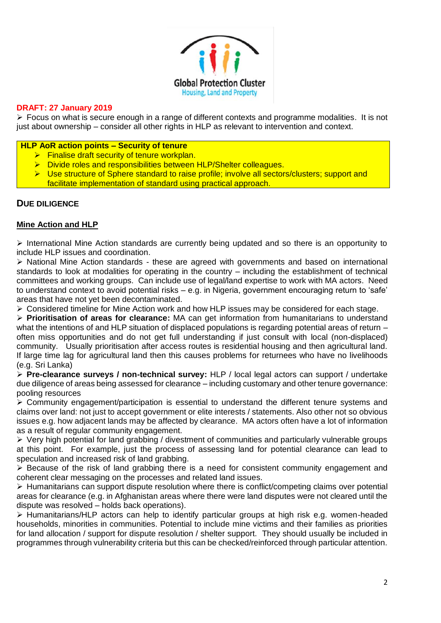

➢ Focus on what is secure enough in a range of different contexts and programme modalities. It is not just about ownership – consider all other rights in HLP as relevant to intervention and context.

#### **HLP AoR action points – Security of tenure**

- $\triangleright$  Finalise draft security of tenure workplan.
- ➢ Divide roles and responsibilities between HLP/Shelter colleagues.
- ➢ Use structure of Sphere standard to raise profile; involve all sectors/clusters; support and facilitate implementation of standard using practical approach.

#### **DUE DILIGENCE**

#### **Mine Action and HLP**

➢ International Mine Action standards are currently being updated and so there is an opportunity to include HLP issues and coordination.

➢ National Mine Action standards - these are agreed with governments and based on international standards to look at modalities for operating in the country – including the establishment of technical committees and working groups. Can include use of legal/land expertise to work with MA actors. Need to understand context to avoid potential risks – e.g. in Nigeria, government encouraging return to 'safe' areas that have not yet been decontaminated.

➢ Considered timeline for Mine Action work and how HLP issues may be considered for each stage.

➢ **Prioritisation of areas for clearance:** MA can get information from humanitarians to understand what the intentions of and HLP situation of displaced populations is regarding potential areas of return – often miss opportunities and do not get full understanding if just consult with local (non-displaced) community. Usually prioritisation after access routes is residential housing and then agricultural land. If large time lag for agricultural land then this causes problems for returnees who have no livelihoods (e.g. Sri Lanka)

➢ **Pre-clearance surveys / non-technical survey:** HLP / local legal actors can support / undertake due diligence of areas being assessed for clearance – including customary and other tenure governance: pooling resources

 $\geq$  Community engagement/participation is essential to understand the different tenure systems and claims over land: not just to accept government or elite interests / statements. Also other not so obvious issues e.g. how adjacent lands may be affected by clearance. MA actors often have a lot of information as a result of regular community engagement.

 $\triangleright$  Very high potential for land grabbing / divestment of communities and particularly vulnerable groups at this point. For example, just the process of assessing land for potential clearance can lead to speculation and increased risk of land grabbing.

➢ Because of the risk of land grabbing there is a need for consistent community engagement and coherent clear messaging on the processes and related land issues.

➢ Humanitarians can support dispute resolution where there is conflict/competing claims over potential areas for clearance (e.g. in Afghanistan areas where there were land disputes were not cleared until the dispute was resolved – holds back operations).

➢ Humanitarians/HLP actors can help to identify particular groups at high risk e.g. women-headed households, minorities in communities. Potential to include mine victims and their families as priorities for land allocation / support for dispute resolution / shelter support. They should usually be included in programmes through vulnerability criteria but this can be checked/reinforced through particular attention.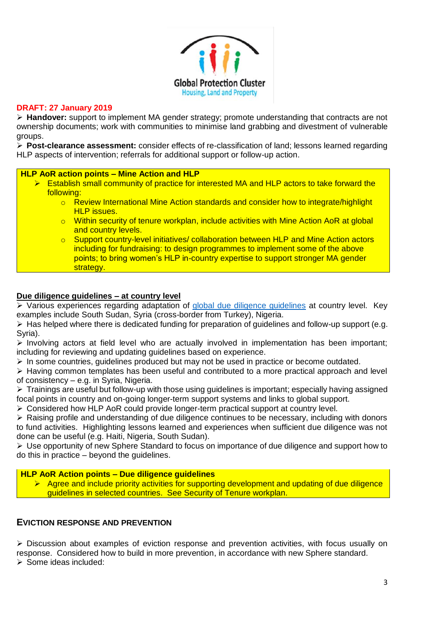

➢ **Handover:** support to implement MA gender strategy; promote understanding that contracts are not ownership documents; work with communities to minimise land grabbing and divestment of vulnerable groups.

➢ **Post-clearance assessment:** consider effects of re-classification of land; lessons learned regarding HLP aspects of intervention; referrals for additional support or follow-up action.

#### **HLP AoR action points – Mine Action and HLP**

- ➢ Establish small community of practice for interested MA and HLP actors to take forward the following:
	- $\circ$  Review International Mine Action standards and consider how to integrate/highlight HLP issues.
	- $\circ$  Within security of tenure workplan, include activities with Mine Action AoR at global and country levels.
	- o Support country-level initiatives/ collaboration between HLP and Mine Action actors including for fundraising: to design programmes to implement some of the above points; to bring women's HLP in-country expertise to support stronger MA gender strategy.

## **Due diligence guidelines – at country level**

➢ Various experiences regarding adaptation of [global due diligence guidelines](https://www.iom.int/files/live/sites/iom/files/What-We-Do/docs/Land-Rights-and-Shelter-The-Due-Diligence-Standard.pdf) at country level. Key examples include South Sudan, Syria (cross-border from Turkey), Nigeria.

 $\triangleright$  Has helped where there is dedicated funding for preparation of quidelines and follow-up support (e.g. Syria).

 $\triangleright$  Involving actors at field level who are actually involved in implementation has been important; including for reviewing and updating guidelines based on experience.

 $\triangleright$  In some countries, guidelines produced but may not be used in practice or become outdated.

➢ Having common templates has been useful and contributed to a more practical approach and level of consistency – e.g. in Syria, Nigeria.

➢ Trainings are useful but follow-up with those using guidelines is important; especially having assigned focal points in country and on-going longer-term support systems and links to global support.

➢ Considered how HLP AoR could provide longer-term practical support at country level.

➢ Raising profile and understanding of due diligence continues to be necessary, including with donors to fund activities. Highlighting lessons learned and experiences when sufficient due diligence was not done can be useful (e.g. Haiti, Nigeria, South Sudan).

➢ Use opportunity of new Sphere Standard to focus on importance of due diligence and support how to do this in practice – beyond the guidelines.

#### **HLP AoR Action points – Due diligence guidelines**

➢ Agree and include priority activities for supporting development and updating of due diligence guidelines in selected countries. See Security of Tenure workplan.

## **EVICTION RESPONSE AND PREVENTION**

➢ Discussion about examples of eviction response and prevention activities, with focus usually on response. Considered how to build in more prevention, in accordance with new Sphere standard. ➢ Some ideas included: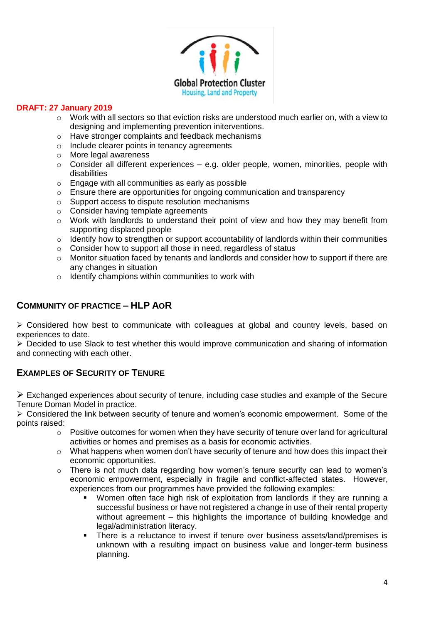

- $\circ$  Work with all sectors so that eviction risks are understood much earlier on, with a view to designing and implementing prevention initerventions.
- o Have stronger complaints and feedback mechanisms
- o Include clearer points in tenancy agreements
- o More legal awareness
- $\circ$  Consider all different experiences e.g. older people, women, minorities, people with disabilities
- o Engage with all communities as early as possible
- $\circ$  Ensure there are opportunities for ongoing communication and transparency
- o Support access to dispute resolution mechanisms
- o Consider having template agreements
- $\circ$  Work with landlords to understand their point of view and how they may benefit from supporting displaced people
- $\circ$  Identify how to strengthen or support accountability of landlords within their communities
- o Consider how to support all those in need, regardless of status
- $\circ$  Monitor situation faced by tenants and landlords and consider how to support if there are any changes in situation
- o Identify champions within communities to work with

## **COMMUNITY OF PRACTICE – HLP AOR**

➢ Considered how best to communicate with colleagues at global and country levels, based on experiences to date.

➢ Decided to use Slack to test whether this would improve communication and sharing of information and connecting with each other.

# **EXAMPLES OF SECURITY OF TENURE**

➢ Exchanged experiences about security of tenure, including case studies and example of the Secure Tenure Doman Model in practice.

➢ Considered the link between security of tenure and women's economic empowerment. Some of the points raised:

- o Positive outcomes for women when they have security of tenure over land for agricultural activities or homes and premises as a basis for economic activities.
- $\circ$  What happens when women don't have security of tenure and how does this impact their economic opportunities.
- o There is not much data regarding how women's tenure security can lead to women's economic empowerment, especially in fragile and conflict-affected states. However, experiences from our programmes have provided the following examples:
	- Women often face high risk of exploitation from landlords if they are running a successful business or have not registered a change in use of their rental property without agreement – this highlights the importance of building knowledge and legal/administration literacy.
	- There is a reluctance to invest if tenure over business assets/land/premises is unknown with a resulting impact on business value and longer-term business planning.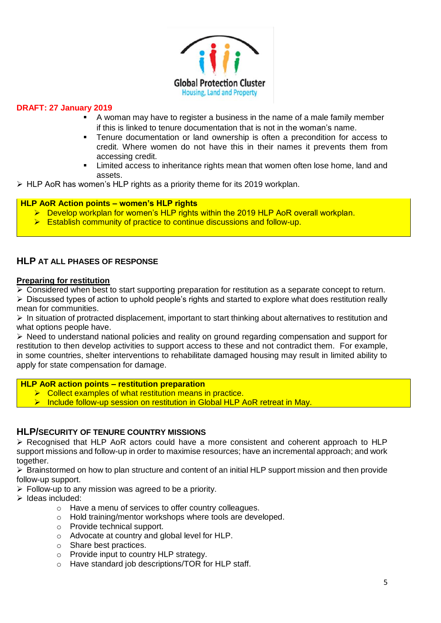

- A woman may have to register a business in the name of a male family member if this is linked to tenure documentation that is not in the woman's name.
- Tenure documentation or land ownership is often a precondition for access to credit. Where women do not have this in their names it prevents them from accessing credit.
- Limited access to inheritance rights mean that women often lose home, land and assets.

 $\triangleright$  HLP AoR has women's HLP rights as a priority theme for its 2019 workplan.

#### **HLP AoR Action points – women's HLP rights**

- ➢ Develop workplan for women's HLP rights within the 2019 HLP AoR overall workplan.
- ➢ Establish community of practice to continue discussions and follow-up.

#### **HLP AT ALL PHASES OF RESPONSE**

#### **Preparing for restitution**

 $\triangleright$  Considered when best to start supporting preparation for restitution as a separate concept to return.

➢ Discussed types of action to uphold people's rights and started to explore what does restitution really mean for communities.

➢ In situation of protracted displacement, important to start thinking about alternatives to restitution and what options people have.

 $\triangleright$  Need to understand national policies and reality on ground regarding compensation and support for restitution to then develop activities to support access to these and not contradict them. For example, in some countries, shelter interventions to rehabilitate damaged housing may result in limited ability to apply for state compensation for damage.

#### **HLP AoR action points – restitution preparation**

- ➢ Collect examples of what restitution means in practice.
- ➢ Include follow-up session on restitution in Global HLP AoR retreat in May.

#### **HLP/SECURITY OF TENURE COUNTRY MISSIONS**

➢ Recognised that HLP AoR actors could have a more consistent and coherent approach to HLP support missions and follow-up in order to maximise resources; have an incremental approach; and work together.

➢ Brainstormed on how to plan structure and content of an initial HLP support mission and then provide follow-up support.

- ➢ Follow-up to any mission was agreed to be a priority.
- ➢ Ideas included:
	- o Have a menu of services to offer country colleagues.
	- o Hold training/mentor workshops where tools are developed.
	- o Provide technical support.
	- o Advocate at country and global level for HLP.
	- o Share best practices.
	- o Provide input to country HLP strategy.
	- o Have standard job descriptions/TOR for HLP staff.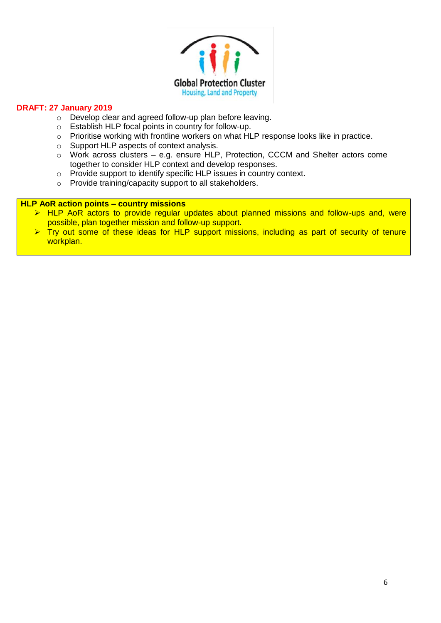

- o Develop clear and agreed follow-up plan before leaving.
- o Establish HLP focal points in country for follow-up.
- o Prioritise working with frontline workers on what HLP response looks like in practice.
- o Support HLP aspects of context analysis.
- o Work across clusters e.g. ensure HLP, Protection, CCCM and Shelter actors come together to consider HLP context and develop responses.
- o Provide support to identify specific HLP issues in country context.
- o Provide training/capacity support to all stakeholders.

#### **HLP AoR action points – country missions**

- ➢ HLP AoR actors to provide regular updates about planned missions and follow-ups and, were possible, plan together mission and follow-up support.
- $\triangleright$  Try out some of these ideas for HLP support missions, including as part of security of tenure workplan.